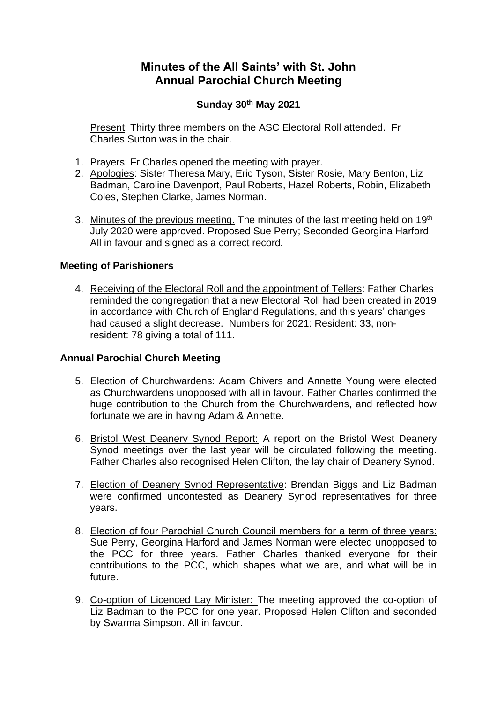# **Minutes of the All Saints' with St. John Annual Parochial Church Meeting**

## **Sunday 30th May 2021**

Present: Thirty three members on the ASC Electoral Roll attended. Fr Charles Sutton was in the chair.

- 1. Prayers: Fr Charles opened the meeting with prayer.
- 2. Apologies: Sister Theresa Mary, Eric Tyson, Sister Rosie, Mary Benton, Liz Badman, Caroline Davenport, Paul Roberts, Hazel Roberts, Robin, Elizabeth Coles, Stephen Clarke, James Norman.
- 3. Minutes of the previous meeting. The minutes of the last meeting held on 19<sup>th</sup> July 2020 were approved. Proposed Sue Perry; Seconded Georgina Harford. All in favour and signed as a correct record*.*

#### **Meeting of Parishioners**

4. Receiving of the Electoral Roll and the appointment of Tellers: Father Charles reminded the congregation that a new Electoral Roll had been created in 2019 in accordance with Church of England Regulations, and this years' changes had caused a slight decrease. Numbers for 2021: Resident: 33, nonresident: 78 giving a total of 111.

#### **Annual Parochial Church Meeting**

- 5. Election of Churchwardens: Adam Chivers and Annette Young were elected as Churchwardens unopposed with all in favour. Father Charles confirmed the huge contribution to the Church from the Churchwardens, and reflected how fortunate we are in having Adam & Annette.
- 6. Bristol West Deanery Synod Report: A report on the Bristol West Deanery Synod meetings over the last year will be circulated following the meeting. Father Charles also recognised Helen Clifton, the lay chair of Deanery Synod.
- 7. Election of Deanery Synod Representative: Brendan Biggs and Liz Badman were confirmed uncontested as Deanery Synod representatives for three years.
- 8. Election of four Parochial Church Council members for a term of three years: Sue Perry, Georgina Harford and James Norman were elected unopposed to the PCC for three years. Father Charles thanked everyone for their contributions to the PCC, which shapes what we are, and what will be in future.
- 9. Co-option of Licenced Lay Minister: The meeting approved the co-option of Liz Badman to the PCC for one year. Proposed Helen Clifton and seconded by Swarma Simpson. All in favour.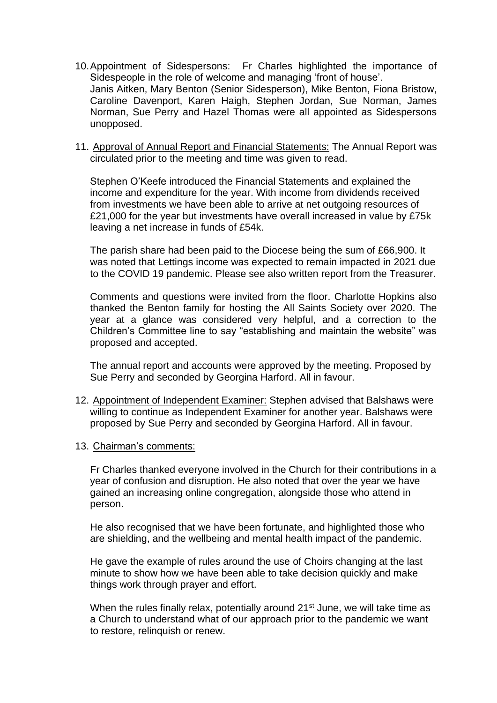- 10.Appointment of Sidespersons: Fr Charles highlighted the importance of Sidespeople in the role of welcome and managing 'front of house'. Janis Aitken, Mary Benton (Senior Sidesperson), Mike Benton, Fiona Bristow, Caroline Davenport, Karen Haigh, Stephen Jordan, Sue Norman, James Norman, Sue Perry and Hazel Thomas were all appointed as Sidespersons unopposed.
- 11. Approval of Annual Report and Financial Statements: The Annual Report was circulated prior to the meeting and time was given to read.

Stephen O'Keefe introduced the Financial Statements and explained the income and expenditure for the year. With income from dividends received from investments we have been able to arrive at net outgoing resources of £21,000 for the year but investments have overall increased in value by £75k leaving a net increase in funds of £54k.

The parish share had been paid to the Diocese being the sum of £66,900. It was noted that Lettings income was expected to remain impacted in 2021 due to the COVID 19 pandemic. Please see also written report from the Treasurer.

Comments and questions were invited from the floor. Charlotte Hopkins also thanked the Benton family for hosting the All Saints Society over 2020. The year at a glance was considered very helpful, and a correction to the Children's Committee line to say "establishing and maintain the website" was proposed and accepted.

The annual report and accounts were approved by the meeting. Proposed by Sue Perry and seconded by Georgina Harford. All in favour.

- 12. Appointment of Independent Examiner: Stephen advised that Balshaws were willing to continue as Independent Examiner for another year. Balshaws were proposed by Sue Perry and seconded by Georgina Harford. All in favour.
- 13. Chairman's comments:

Fr Charles thanked everyone involved in the Church for their contributions in a year of confusion and disruption. He also noted that over the year we have gained an increasing online congregation, alongside those who attend in person.

He also recognised that we have been fortunate, and highlighted those who are shielding, and the wellbeing and mental health impact of the pandemic.

He gave the example of rules around the use of Choirs changing at the last minute to show how we have been able to take decision quickly and make things work through prayer and effort.

When the rules finally relax, potentially around 21<sup>st</sup> June, we will take time as a Church to understand what of our approach prior to the pandemic we want to restore, relinquish or renew.